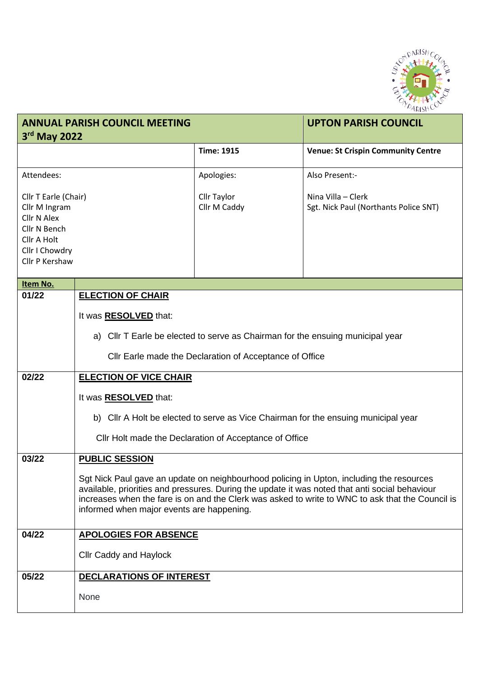

| <b>ANNUAL PARISH COUNCIL MEETING</b><br>3rd May 2022                                                                           |                                                                                                                                                                                                                                                                                                                                             |                                    | <b>UPTON PARISH COUNCIL</b>                                 |  |  |
|--------------------------------------------------------------------------------------------------------------------------------|---------------------------------------------------------------------------------------------------------------------------------------------------------------------------------------------------------------------------------------------------------------------------------------------------------------------------------------------|------------------------------------|-------------------------------------------------------------|--|--|
|                                                                                                                                |                                                                                                                                                                                                                                                                                                                                             | <b>Time: 1915</b>                  | <b>Venue: St Crispin Community Centre</b>                   |  |  |
| Attendees:                                                                                                                     |                                                                                                                                                                                                                                                                                                                                             | Apologies:                         | Also Present:-                                              |  |  |
| Cllr T Earle (Chair)<br>Cllr M Ingram<br><b>Cllr N Alex</b><br>Cllr N Bench<br>Cllr A Holt<br>Cllr I Chowdry<br>Cllr P Kershaw |                                                                                                                                                                                                                                                                                                                                             | <b>Cllr Taylor</b><br>Cllr M Caddy | Nina Villa - Clerk<br>Sgt. Nick Paul (Northants Police SNT) |  |  |
| Item No.                                                                                                                       |                                                                                                                                                                                                                                                                                                                                             |                                    |                                                             |  |  |
| 01/22                                                                                                                          | <b>ELECTION OF CHAIR</b><br>It was <b>RESOLVED</b> that:<br>a) Cllr T Earle be elected to serve as Chairman for the ensuing municipal year<br>Cllr Earle made the Declaration of Acceptance of Office                                                                                                                                       |                                    |                                                             |  |  |
| 02/22                                                                                                                          | <b>ELECTION OF VICE CHAIR</b>                                                                                                                                                                                                                                                                                                               |                                    |                                                             |  |  |
|                                                                                                                                | It was <b>RESOLVED</b> that:<br>b) Cllr A Holt be elected to serve as Vice Chairman for the ensuing municipal year<br>Cllr Holt made the Declaration of Acceptance of Office                                                                                                                                                                |                                    |                                                             |  |  |
| 03/22                                                                                                                          | <b>PUBLIC SESSION</b>                                                                                                                                                                                                                                                                                                                       |                                    |                                                             |  |  |
|                                                                                                                                | Sgt Nick Paul gave an update on neighbourhood policing in Upton, including the resources<br>available, priorities and pressures. During the update it was noted that anti social behaviour<br>increases when the fare is on and the Clerk was asked to write to WNC to ask that the Council is<br>informed when major events are happening. |                                    |                                                             |  |  |
| 04/22                                                                                                                          | <b>APOLOGIES FOR ABSENCE</b>                                                                                                                                                                                                                                                                                                                |                                    |                                                             |  |  |
|                                                                                                                                | <b>Cllr Caddy and Haylock</b>                                                                                                                                                                                                                                                                                                               |                                    |                                                             |  |  |
| 05/22                                                                                                                          | DECLARATIONS OF INTEREST                                                                                                                                                                                                                                                                                                                    |                                    |                                                             |  |  |
|                                                                                                                                | None                                                                                                                                                                                                                                                                                                                                        |                                    |                                                             |  |  |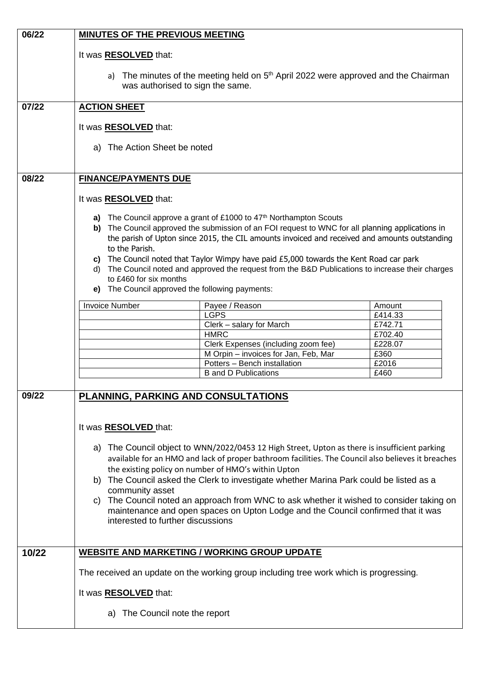| 06/22 | <b>MINUTES OF THE PREVIOUS MEETING</b>                                                                                                                                                            |                                                                                                                                                                                               |                    |  |  |
|-------|---------------------------------------------------------------------------------------------------------------------------------------------------------------------------------------------------|-----------------------------------------------------------------------------------------------------------------------------------------------------------------------------------------------|--------------------|--|--|
|       | It was <b>RESOLVED</b> that:                                                                                                                                                                      |                                                                                                                                                                                               |                    |  |  |
|       |                                                                                                                                                                                                   |                                                                                                                                                                                               |                    |  |  |
|       |                                                                                                                                                                                                   | a) The minutes of the meeting held on 5 <sup>th</sup> April 2022 were approved and the Chairman                                                                                               |                    |  |  |
|       | was authorised to sign the same.                                                                                                                                                                  |                                                                                                                                                                                               |                    |  |  |
| 07/22 | <b>ACTION SHEET</b>                                                                                                                                                                               |                                                                                                                                                                                               |                    |  |  |
|       |                                                                                                                                                                                                   |                                                                                                                                                                                               |                    |  |  |
|       | It was <b>RESOLVED</b> that:                                                                                                                                                                      |                                                                                                                                                                                               |                    |  |  |
|       | a) The Action Sheet be noted                                                                                                                                                                      |                                                                                                                                                                                               |                    |  |  |
|       |                                                                                                                                                                                                   |                                                                                                                                                                                               |                    |  |  |
| 08/22 | <b>FINANCE/PAYMENTS DUE</b>                                                                                                                                                                       |                                                                                                                                                                                               |                    |  |  |
|       |                                                                                                                                                                                                   |                                                                                                                                                                                               |                    |  |  |
|       | It was <b>RESOLVED</b> that:                                                                                                                                                                      |                                                                                                                                                                                               |                    |  |  |
|       | The Council approve a grant of £1000 to 47 <sup>th</sup> Northampton Scouts<br>a)                                                                                                                 |                                                                                                                                                                                               |                    |  |  |
|       | b) The Council approved the submission of an FOI request to WNC for all planning applications in<br>the parish of Upton since 2015, the CIL amounts invoiced and received and amounts outstanding |                                                                                                                                                                                               |                    |  |  |
|       | to the Parish.                                                                                                                                                                                    |                                                                                                                                                                                               |                    |  |  |
|       |                                                                                                                                                                                                   | c) The Council noted that Taylor Wimpy have paid $£5,000$ towards the Kent Road car park<br>d) The Council noted and approved the request from the B&D Publications to increase their charges |                    |  |  |
|       | to £460 for six months                                                                                                                                                                            |                                                                                                                                                                                               |                    |  |  |
|       | e) The Council approved the following payments:                                                                                                                                                   |                                                                                                                                                                                               |                    |  |  |
|       | <b>Invoice Number</b>                                                                                                                                                                             | Payee / Reason                                                                                                                                                                                | Amount             |  |  |
|       |                                                                                                                                                                                                   | LGPS<br>Clerk - salary for March                                                                                                                                                              | £414.33<br>£742.71 |  |  |
|       |                                                                                                                                                                                                   | <b>HMRC</b>                                                                                                                                                                                   | £702.40            |  |  |
|       |                                                                                                                                                                                                   | Clerk Expenses (including zoom fee)<br>M Orpin - invoices for Jan, Feb, Mar                                                                                                                   | £228.07<br>£360    |  |  |
|       |                                                                                                                                                                                                   | Potters - Bench installation                                                                                                                                                                  | £2016              |  |  |
|       |                                                                                                                                                                                                   | <b>B</b> and D Publications                                                                                                                                                                   | £460               |  |  |
| 09/22 | PLANNING, PARKING AND CONSULTATIONS                                                                                                                                                               |                                                                                                                                                                                               |                    |  |  |
|       |                                                                                                                                                                                                   |                                                                                                                                                                                               |                    |  |  |
|       |                                                                                                                                                                                                   |                                                                                                                                                                                               |                    |  |  |
|       | It was <b>RESOLVED</b> that:                                                                                                                                                                      |                                                                                                                                                                                               |                    |  |  |
|       |                                                                                                                                                                                                   | a) The Council object to WNN/2022/0453 12 High Street, Upton as there is insufficient parking                                                                                                 |                    |  |  |
|       | available for an HMO and lack of proper bathroom facilities. The Council also believes it breaches                                                                                                |                                                                                                                                                                                               |                    |  |  |
|       | the existing policy on number of HMO's within Upton<br>b) The Council asked the Clerk to investigate whether Marina Park could be listed as a                                                     |                                                                                                                                                                                               |                    |  |  |
|       | community asset                                                                                                                                                                                   |                                                                                                                                                                                               |                    |  |  |
|       | c) The Council noted an approach from WNC to ask whether it wished to consider taking on<br>maintenance and open spaces on Upton Lodge and the Council confirmed that it was                      |                                                                                                                                                                                               |                    |  |  |
|       | interested to further discussions                                                                                                                                                                 |                                                                                                                                                                                               |                    |  |  |
|       |                                                                                                                                                                                                   |                                                                                                                                                                                               |                    |  |  |
| 10/22 |                                                                                                                                                                                                   | <b>WEBSITE AND MARKETING / WORKING GROUP UPDATE</b>                                                                                                                                           |                    |  |  |
|       |                                                                                                                                                                                                   | The received an update on the working group including tree work which is progressing.                                                                                                         |                    |  |  |
|       |                                                                                                                                                                                                   |                                                                                                                                                                                               |                    |  |  |
|       | It was <b>RESOLVED</b> that:                                                                                                                                                                      |                                                                                                                                                                                               |                    |  |  |
|       | a) The Council note the report                                                                                                                                                                    |                                                                                                                                                                                               |                    |  |  |